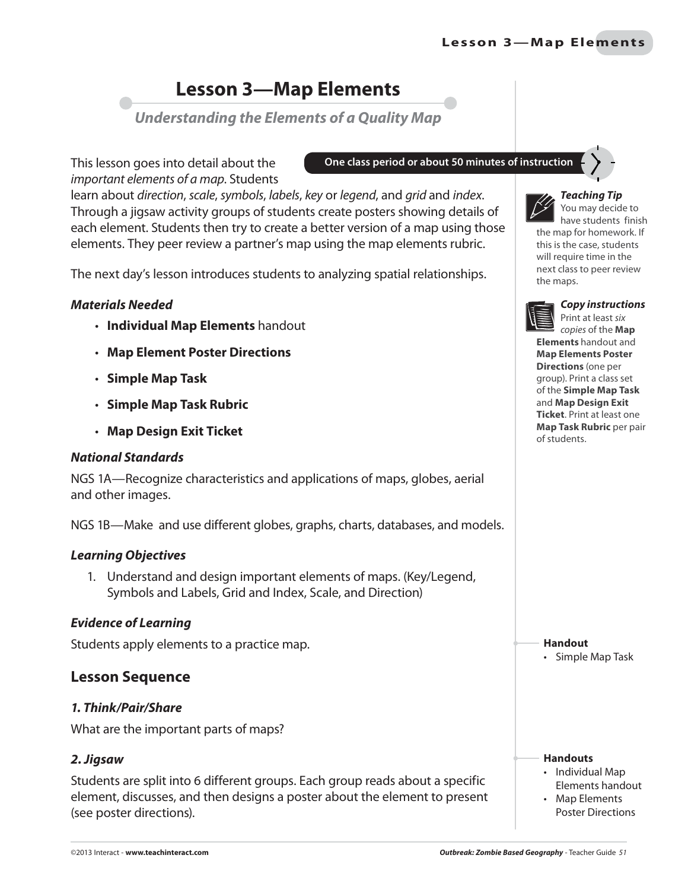### **Lesson 3-Map Elements**

*Understanding the Elements of a Quality Map*

This lesson goes into detail about the important elements of a map. Students

learn about direction, scale, symbols, labels, key or legend, and grid and index. Through a jigsaw activity groups of students create posters showing details of each element. Students then try to create a better version of a map using those elements. They peer review a partner's map using the map elements rubric.

The next day's lesson introduces students to analyzing spatial relationships.

#### *Materials Needed*

- **Individual Map Elements** handout
- **Map Element Poster Directions**
- **Simple Map Task**
- **Simple Map Task Rubric**
- **Map Design Exit Ticket**

#### *National Standards*

NGS 1A—Recognize characteristics and applications of maps, globes, aerial and other images.

NGS 1B—Make and use different globes, graphs, charts, databases, and models.

#### *Learning Objectives*

1. Understand and design important elements of maps. (Key/Legend, Symbols and Labels, Grid and Index, Scale, and Direction)

#### *Evidence of Learning*

Students apply elements to a practice map.

#### **Lesson Sequence**

#### *1. Think/Pair/Share*

What are the important parts of maps?

#### *2. Jigsaw*

Students are split into 6 different groups. Each group reads about a specific element, discusses, and then designs a poster about the element to present (see poster directions).

**One class period or about 50 minutes of instruction**



*Teaching Tip*

You may decide to have students finish the map for homework. If this is the case, students will require time in the next class to peer review the maps.



*Copy instructions*

Print at least six copies of the **Map Elements** handout and **Map Elements Poster Directions** (one per group). Print a class set of the **Simple Map Task** and **Map Design Exit Ticket**. Print at least one **Map Task Rubric** per pair of students.

**Handout** • Simple Map Task

**Handouts** • Individual Map

Elements handout • Map Elements

Poster Directions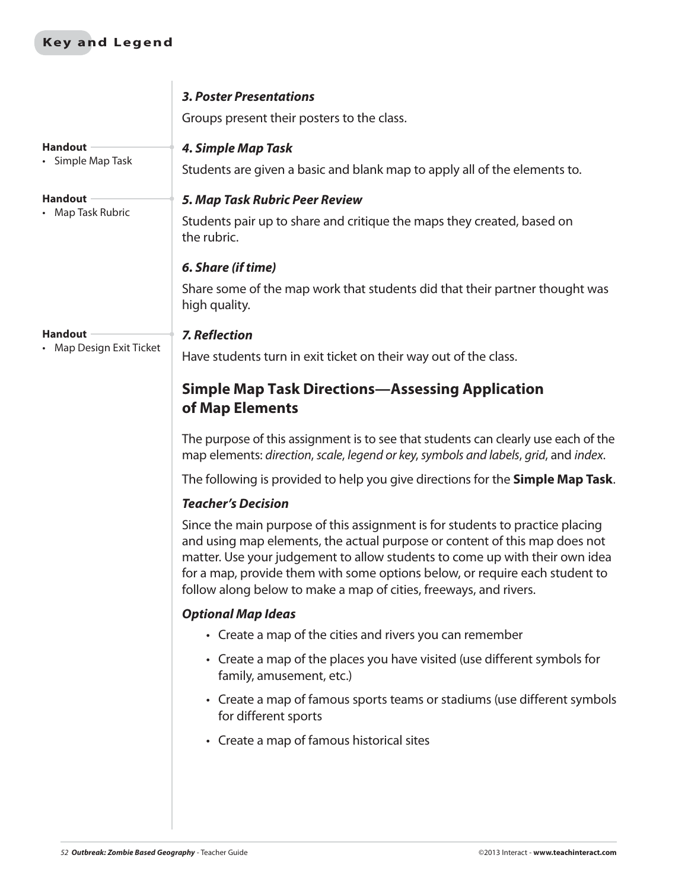#### **Key and Legend**

|                          | <b>3. Poster Presentations</b>                                                                                                                                                                                                                                                                                                                                                                 |
|--------------------------|------------------------------------------------------------------------------------------------------------------------------------------------------------------------------------------------------------------------------------------------------------------------------------------------------------------------------------------------------------------------------------------------|
|                          | Groups present their posters to the class.                                                                                                                                                                                                                                                                                                                                                     |
| <b>Handout</b>           | 4. Simple Map Task                                                                                                                                                                                                                                                                                                                                                                             |
| • Simple Map Task        | Students are given a basic and blank map to apply all of the elements to.                                                                                                                                                                                                                                                                                                                      |
| <b>Handout</b>           | 5. Map Task Rubric Peer Review                                                                                                                                                                                                                                                                                                                                                                 |
| • Map Task Rubric        | Students pair up to share and critique the maps they created, based on<br>the rubric.                                                                                                                                                                                                                                                                                                          |
|                          | 6. Share (if time)                                                                                                                                                                                                                                                                                                                                                                             |
|                          | Share some of the map work that students did that their partner thought was<br>high quality.                                                                                                                                                                                                                                                                                                   |
| <b>Handout</b>           | <b>7. Reflection</b>                                                                                                                                                                                                                                                                                                                                                                           |
| • Map Design Exit Ticket | Have students turn in exit ticket on their way out of the class.                                                                                                                                                                                                                                                                                                                               |
|                          | <b>Simple Map Task Directions—Assessing Application</b><br>of Map Elements                                                                                                                                                                                                                                                                                                                     |
|                          | The purpose of this assignment is to see that students can clearly use each of the<br>map elements: direction, scale, legend or key, symbols and labels, grid, and index.                                                                                                                                                                                                                      |
|                          | The following is provided to help you give directions for the Simple Map Task.                                                                                                                                                                                                                                                                                                                 |
|                          | <b>Teacher's Decision</b>                                                                                                                                                                                                                                                                                                                                                                      |
|                          | Since the main purpose of this assignment is for students to practice placing<br>and using map elements, the actual purpose or content of this map does not<br>matter. Use your judgement to allow students to come up with their own idea<br>for a map, provide them with some options below, or require each student to<br>follow along below to make a map of cities, freeways, and rivers. |
|                          | <b>Optional Map Ideas</b>                                                                                                                                                                                                                                                                                                                                                                      |
|                          | • Create a map of the cities and rivers you can remember                                                                                                                                                                                                                                                                                                                                       |
|                          | • Create a map of the places you have visited (use different symbols for<br>family, amusement, etc.)                                                                                                                                                                                                                                                                                           |
|                          | • Create a map of famous sports teams or stadiums (use different symbols<br>for different sports                                                                                                                                                                                                                                                                                               |
|                          | • Create a map of famous historical sites                                                                                                                                                                                                                                                                                                                                                      |
|                          |                                                                                                                                                                                                                                                                                                                                                                                                |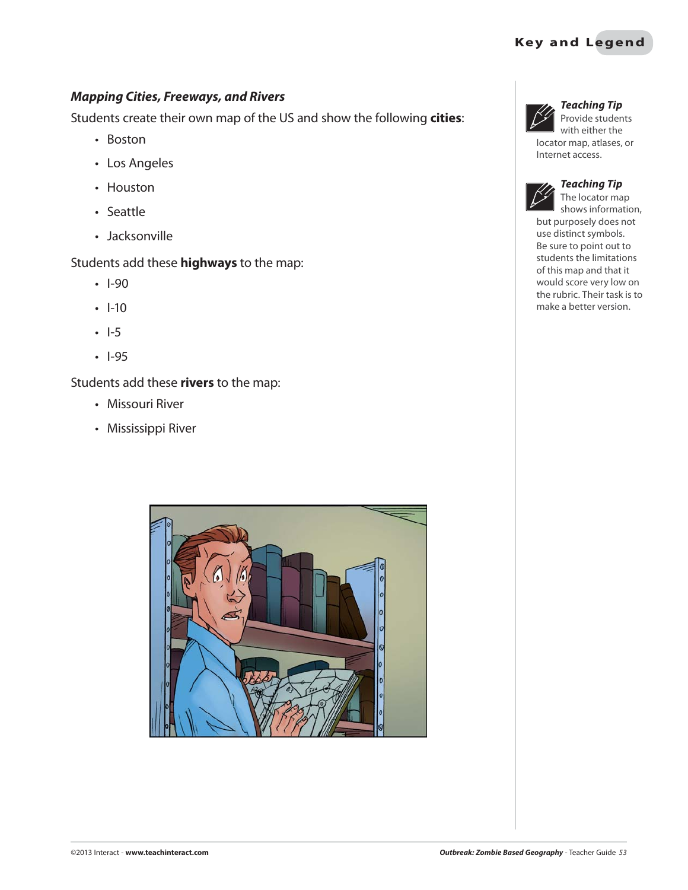#### *Mapping Cities, Freeways, and Rivers*

Students create their own map of the US and show the following **cities**:

- Boston
- Los Angeles
- Houston
- Seattle
- Jacksonville

Students add these **highways** to the map:

- $\cdot$  I-90
- $\cdot$  I-10
- $\cdot$  I-5
- $\cdot$  1-95

Students add these **rivers** to the map:

- Missouri River
- Mississippi River





#### *Teaching Tip*

Provide students with either the locator map, atlases, or Internet access.



#### *Teaching Tip*

The locator map shows information, but purposely does not use distinct symbols. Be sure to point out to students the limitations of this map and that it would score very low on the rubric. Their task is to make a better version.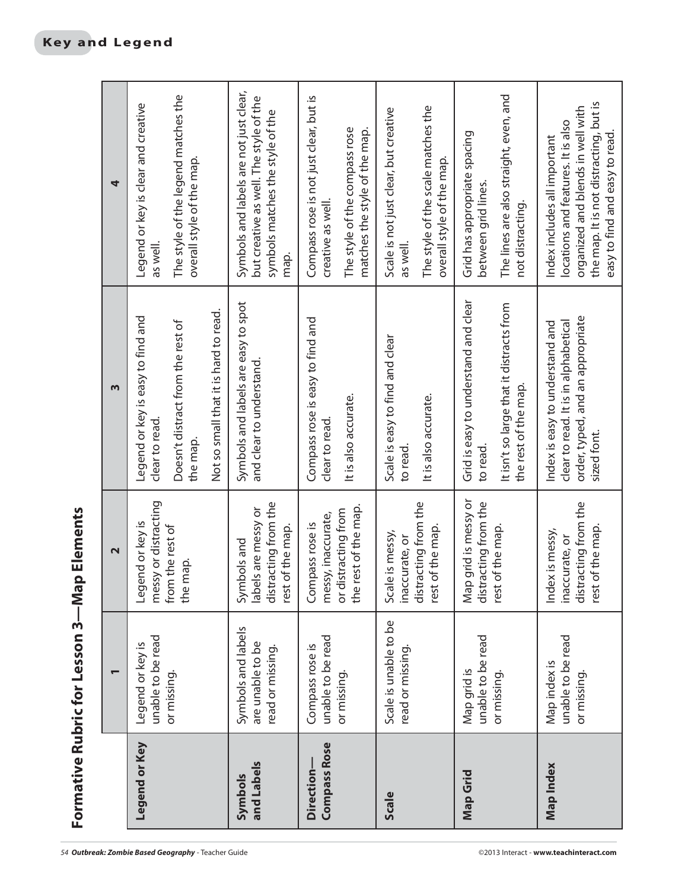| Í<br>$\frac{1}{2}$ |
|--------------------|
| ı<br>r<br>ŋ        |
| SCCOR              |
| Ï                  |
|                    |
| í                  |

|                                         | Formative Rubric for Lesson 3-Map Elements                 |                                                                                |                                                                         |                                                                                                                              |
|-----------------------------------------|------------------------------------------------------------|--------------------------------------------------------------------------------|-------------------------------------------------------------------------|------------------------------------------------------------------------------------------------------------------------------|
|                                         | $\overline{\phantom{0}}$                                   | $\mathbf{\Omega}$                                                              | m                                                                       | 4                                                                                                                            |
| Legend or Key                           | unable to be read<br>Legend or key is                      | messy or distracting<br>jend or key is<br>БəТ                                  | Legend or key is easy to find and<br>clear to read.                     | Legend or key is clear and creative<br>as well.                                                                              |
|                                         | or missing.                                                | from the rest of<br>map.<br>the                                                | Doesn't distract from the rest of<br>the map.                           | The style of the legend matches the<br>overall style of the map.                                                             |
|                                         |                                                            |                                                                                | Not so small that it is hard to read.                                   |                                                                                                                              |
| and Labels<br>Symbols                   | Symbols and labels<br>are unable to be<br>read or missing. | distracting from the<br>labels are messy or<br>rest of the map.<br>Symbols and | Symbols and labels are easy to spot<br>and clear to understand.         | Symbols and labels are not just clear,<br>but creative as well. The style of the<br>symbols matches the style of the<br>map. |
| <b>Compass Rose</b><br><b>Direction</b> | unable to be read<br>Compass rose is                       | messy, inaccurate,<br>Compass rose is                                          | Compass rose is easy to find and<br>clear to read.                      | Compass rose is not just clear, but is<br>creative as well.                                                                  |
|                                         | or missing.                                                | the rest of the map.<br>or distracting from                                    | It is also accurate.                                                    | The style of the compass rose<br>matches the style of the map.                                                               |
| <b>Scale</b>                            | Scale is unable to be<br>read or missing                   | Scale is messy,<br>inaccurate, or                                              | Scale is easy to find and clear<br>to read.                             | Scale is not just clear, but creative<br>as well.                                                                            |
|                                         |                                                            | distracting from the<br>rest of the map.                                       | It is also accurate.                                                    | The style of the scale matches the<br>overall style of the map.                                                              |
| Map Grid                                | unable to be read<br>Map grid is                           | Map grid is messy or<br>distracting from the                                   | Grid is easy to understand and clear<br>to read.                        | Grid has appropriate spacing<br>between grid lines.                                                                          |
|                                         | or missing                                                 | rest of the map.                                                               | It isn't so large that it distracts from<br>the rest of the map.        | The lines are also straight, even, and<br>not distracting.                                                                   |
| Map Index                               | unable to be read<br>Map index is                          | Index is messy,<br>inaccurate, or                                              | clear to read. It is in alphabetical<br>Index is easy to understand and | locations and features. It is also<br>Index includes all important                                                           |
|                                         | or missing                                                 | distracting from the<br>rest of the map.                                       | order, typed, and an appropriate<br>sized font.                         | the map. It is not distracting, but is<br>organized and blends in well with<br>easy to find and easy to read.                |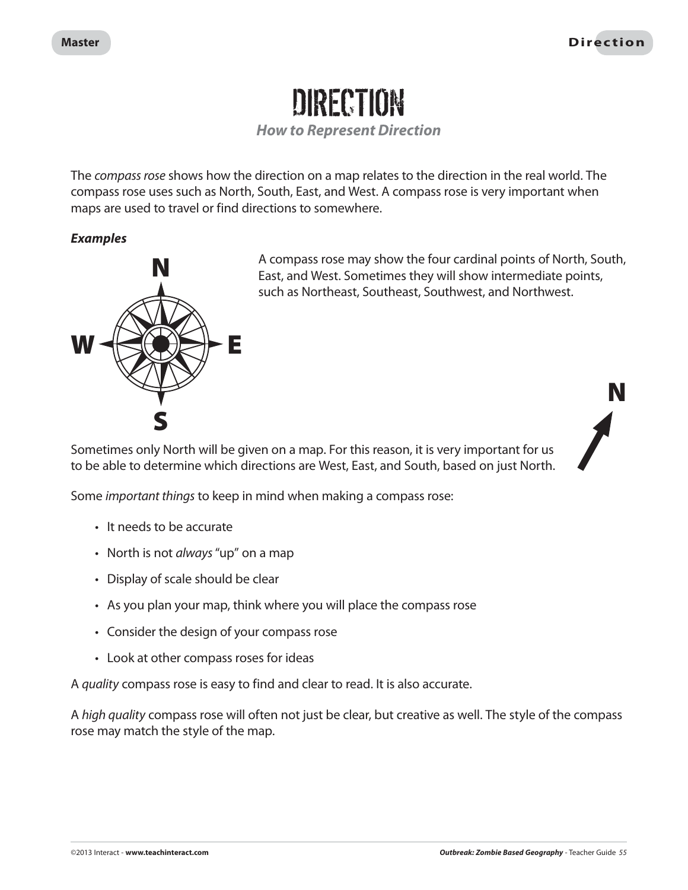

*How to Represent Direction*

The compass rose shows how the direction on a map relates to the direction in the real world. The compass rose uses such as North, South, East, and West. A compass rose is very important when maps are used to travel or find directions to somewhere.

#### *Examples*



A compass rose may show the four cardinal points of North, South, East, and West. Sometimes they will show intermediate points, such as Northeast, Southeast, Southwest, and Northwest.

Sometimes only North will be given on a map. For this reason, it is very important for us to be able to determine which directions are West, East, and South, based on just North.



Some important things to keep in mind when making a compass rose:

- It needs to be accurate
- North is not *always* "up" on a map
- Display of scale should be clear
- As you plan your map, think where you will place the compass rose
- Consider the design of your compass rose
- Look at other compass roses for ideas

A quality compass rose is easy to find and clear to read. It is also accurate.

A high quality compass rose will often not just be clear, but creative as well. The style of the compass rose may match the style of the map.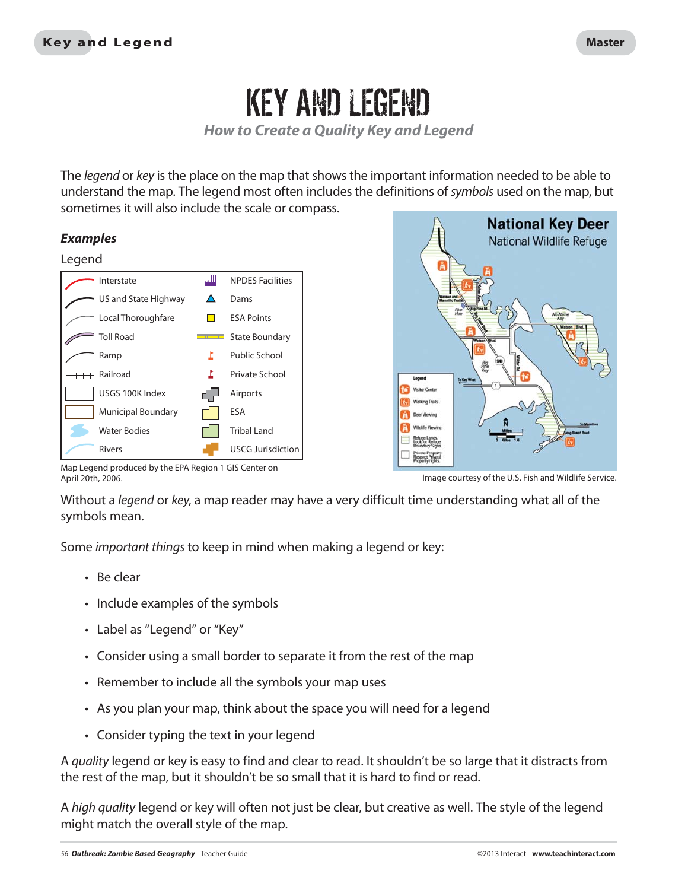## KEY AND LEGEND

*How to Create a Quality Key and Legend*

The *legend* or key is the place on the map that shows the important information needed to be able to understand the map. The legend most often includes the definitions of symbols used on the map, but sometimes it will also include the scale or compass.

#### *Examples*

#### Legend





Map Legend produced by the EPA Region 1 GIS Center on April 20th, 2006. Image courtesy of the U.S. Fish and Wildlife Service.

Without a legend or key, a map reader may have a very difficult time understanding what all of the symbols mean.

Some important things to keep in mind when making a legend or key:

- $\cdot$  Be clear
- Include examples of the symbols
- Label as "Legend" or "Key"
- Consider using a small border to separate it from the rest of the map
- Remember to include all the symbols your map uses
- As you plan your map, think about the space you will need for a legend
- Consider typing the text in your legend

A *quality* legend or key is easy to find and clear to read. It shouldn't be so large that it distracts from the rest of the map, but it shouldn't be so small that it is hard to find or read.

A high quality legend or key will often not just be clear, but creative as well. The style of the legend might match the overall style of the map.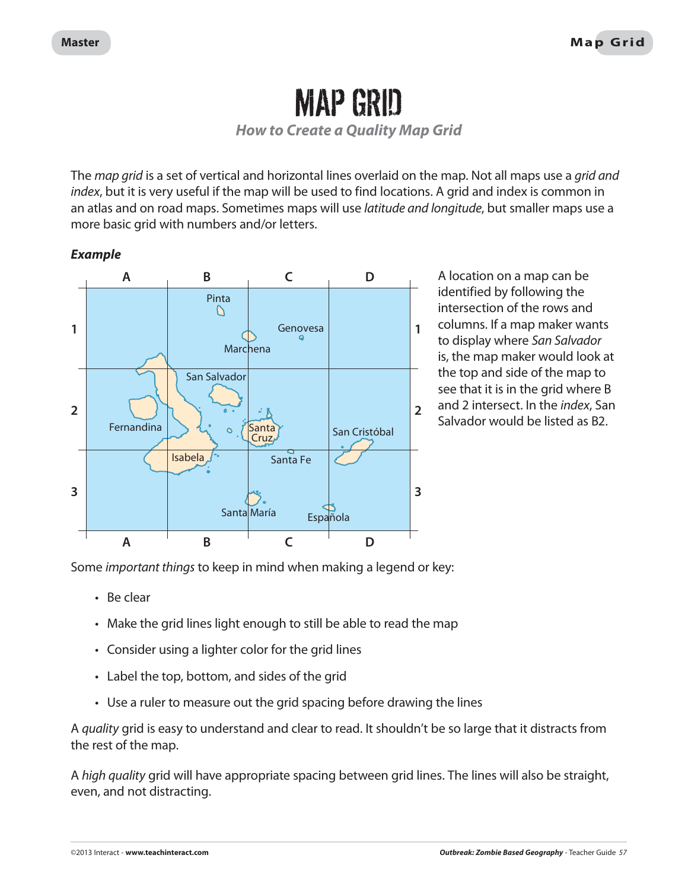### MAP GRID

*How to Create a Quality Map Grid*

The *map grid* is a set of vertical and horizontal lines overlaid on the map. Not all maps use a *grid and* index, but it is very useful if the map will be used to find locations. A grid and index is common in an atlas and on road maps. Sometimes maps will use *latitude and longitude*, but smaller maps use a more basic grid with numbers and/or letters.

#### *Example*



A location on a map can be identified by following the intersection of the rows and columns. If a map maker wants to display where San Salvador is, the map maker would look at the top and side of the map to see that it is in the grid where B and 2 intersect. In the index, San Salvador would be listed as B2.

Some important things to keep in mind when making a legend or key:

- $\cdot$  Be clear
- Make the grid lines light enough to still be able to read the map
- Consider using a lighter color for the grid lines
- Label the top, bottom, and sides of the grid
- Use a ruler to measure out the grid spacing before drawing the lines

A quality grid is easy to understand and clear to read. It shouldn't be so large that it distracts from the rest of the map.

A *high quality* grid will have appropriate spacing between grid lines. The lines will also be straight, even, and not distracting.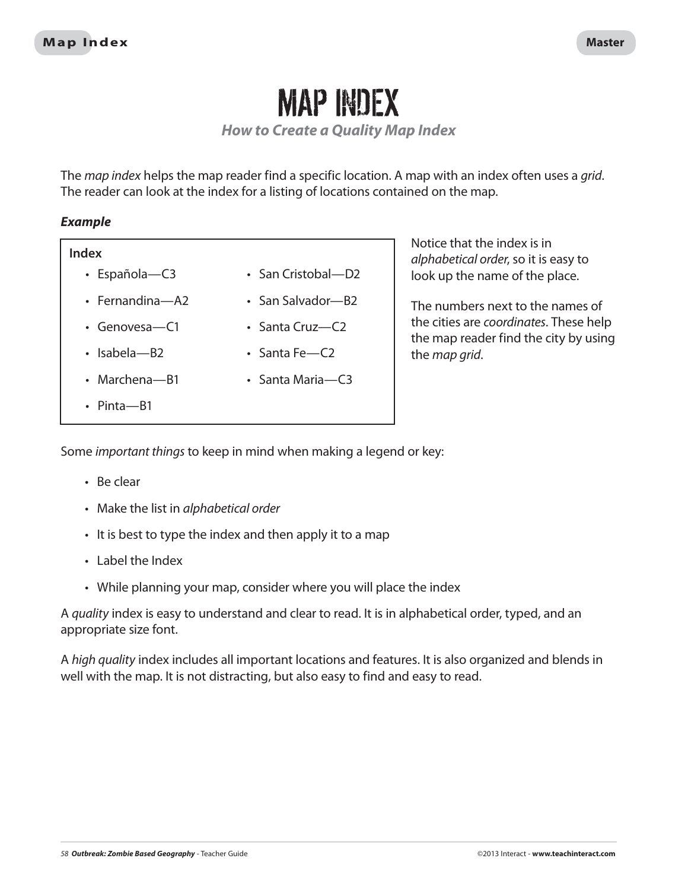### MAP INDEX

*How to Create a Quality Map Index*

The map index helps the map reader find a specific location. A map with an index often uses a grid. The reader can look at the index for a listing of locations contained on the map.

#### *Example*

#### **Index**

- Española-C3
- $\cdot$  Fernandina—A2
- $\cdot$  Genovesa-C1
- $\cdot$  Isabela—B2
- $\cdot$  Marchena-B1
- $\cdot$  Pinta—B1
- San Cristobal—D2
- San Salvador—B2
- $\cdot$  Santa Cruz—C2
- $\cdot$  Santa Fe-C2
- Santa Maria—C3
- 
- 

look up the name of the place. The numbers next to the names of

Notice that the index is in

alphabetical order, so it is easy to

the cities are coordinates. These help the map reader find the city by using the map grid.

Some important things to keep in mind when making a legend or key:

- $B$ e clear
- Make the list in alphabetical order
- I It is best to type the index and then apply it to a map
- $\cdot$  Label the Index
- While planning your map, consider where you will place the index

A quality index is easy to understand and clear to read. It is in alphabetical order, typed, and an appropriate size font.

A high quality index includes all important locations and features. It is also organized and blends in well with the map. It is not distracting, but also easy to find and easy to read.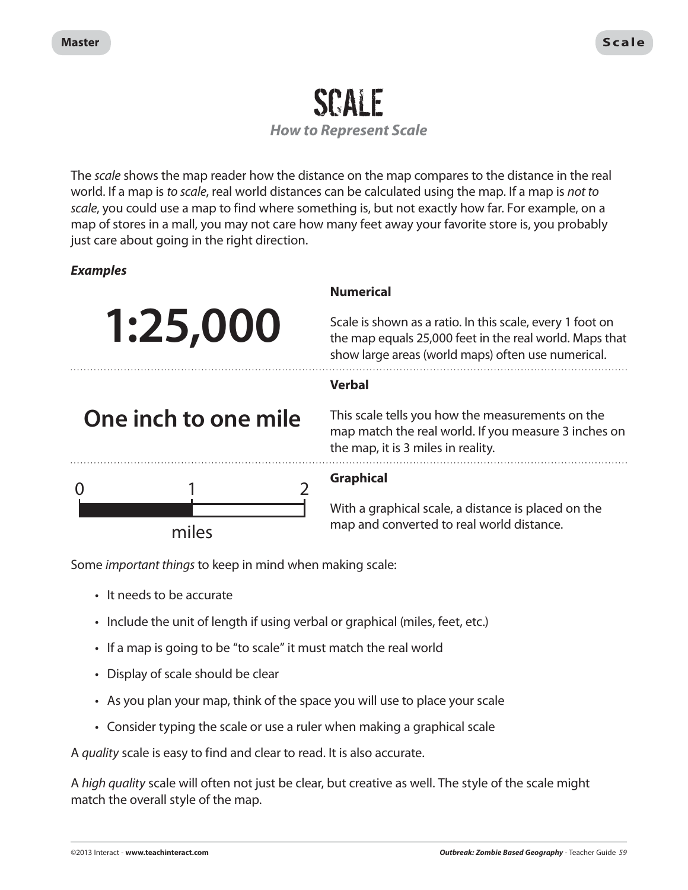### SCALE *How to Represent Scale*

The *scale* shows the map reader how the distance on the map compares to the distance in the real world. If a map is to scale, real world distances can be calculated using the map. If a map is not to scale, you could use a map to find where something is, but not exactly how far. For example, on a map of stores in a mall, you may not care how many feet away your favorite store is, you probably just care about going in the right direction.

#### *Examples*



#### **Numerical**

Scale is shown as a ratio. In this scale, every 1 foot on the map equals 25,000 feet in the real world. Maps that show large areas (world maps) often use numerical.

#### **Verbal**

This scale tells you how the measurements on the map match the real world. If you measure 3 inches on the map, it is 3 miles in reality.



**One inch to one mile**

#### **Graphical**

With a graphical scale, a distance is placed on the map and converted to real world distance.

Some important things to keep in mind when making scale:

- It needs to be accurate
- Include the unit of length if using verbal or graphical (miles, feet, etc.)
- If a map is going to be "to scale" it must match the real world
- Display of scale should be clear
- As you plan your map, think of the space you will use to place your scale
- Consider typing the scale or use a ruler when making a graphical scale

A quality scale is easy to find and clear to read. It is also accurate.

A *high quality* scale will often not just be clear, but creative as well. The style of the scale might match the overall style of the map.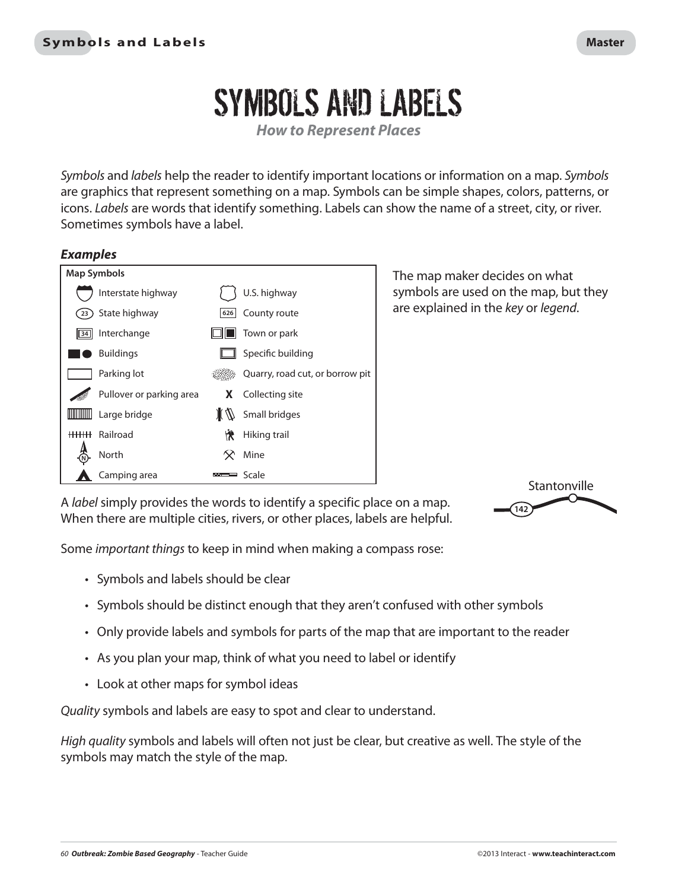# SYMBOLS AND LABELS

*How to Represent Places*

Symbols and *labels* help the reader to identify important locations or information on a map. Symbols are graphics that represent something on a map. Symbols can be simple shapes, colors, patterns, or icons. Labels are words that identify something. Labels can show the name of a street, city, or river. Sometimes symbols have a label.

#### *Examples*



The map maker decides on what symbols are used on the map, but they are explained in the key or legend.

A label simply provides the words to identify a specific place on a map. When there are multiple cities, rivers, or other places, labels are helpful.



Some important things to keep in mind when making a compass rose:

- Symbols and labels should be clear
- Symbols should be distinct enough that they aren't confused with other symbols
- Only provide labels and symbols for parts of the map that are important to the reader
- As you plan your map, think of what you need to label or identify
- Look at other maps for symbol ideas

Quality symbols and labels are easy to spot and clear to understand.

High quality symbols and labels will often not just be clear, but creative as well. The style of the symbols may match the style of the map.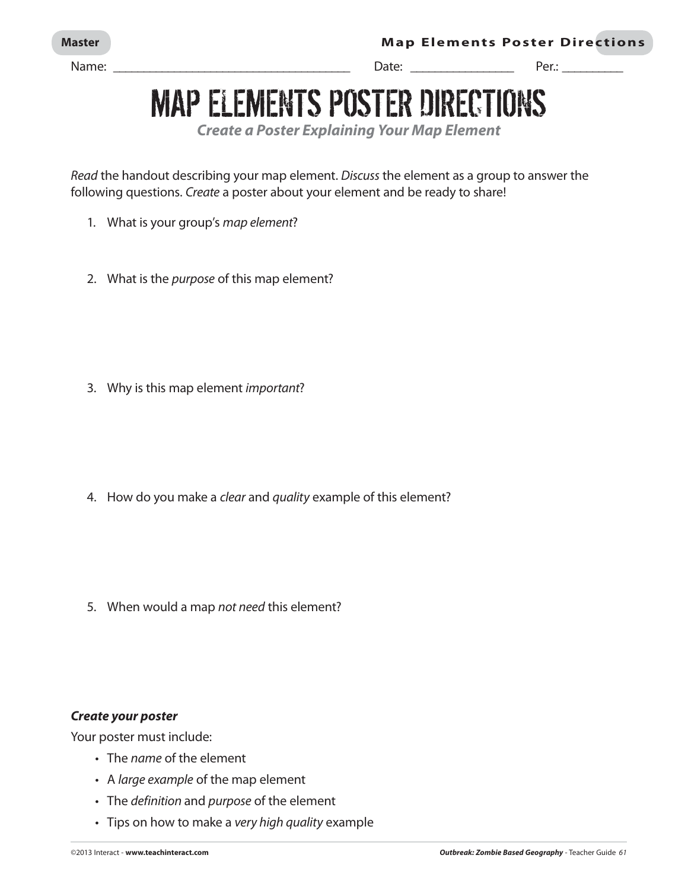Name: \_\_\_\_\_\_\_\_\_\_\_\_\_\_\_\_\_\_\_\_\_\_\_\_\_\_\_\_\_\_\_\_\_\_\_\_\_\_\_ Date: \_\_\_\_\_\_\_\_\_\_\_\_\_\_\_\_\_ Per.: \_\_\_\_\_\_\_\_\_\_

## MAP ELEMENTS POSTER DIRECTIONS

*Create a Poster Explaining Your Map Element*

Read the handout describing your map element. Discuss the element as a group to answer the following questions. Create a poster about your element and be ready to share!

- 1. What is your group's map element?
- 2. What is the *purpose* of this map element?

3. Why is this map element important?

4. How do you make a *clear* and *quality* example of this element?

5. When would a map not need this element?

#### *Create your poster*

Your poster must include:

- The name of the element
- A large example of the map element
- The definition and purpose of the element
- Tips on how to make a very high quality example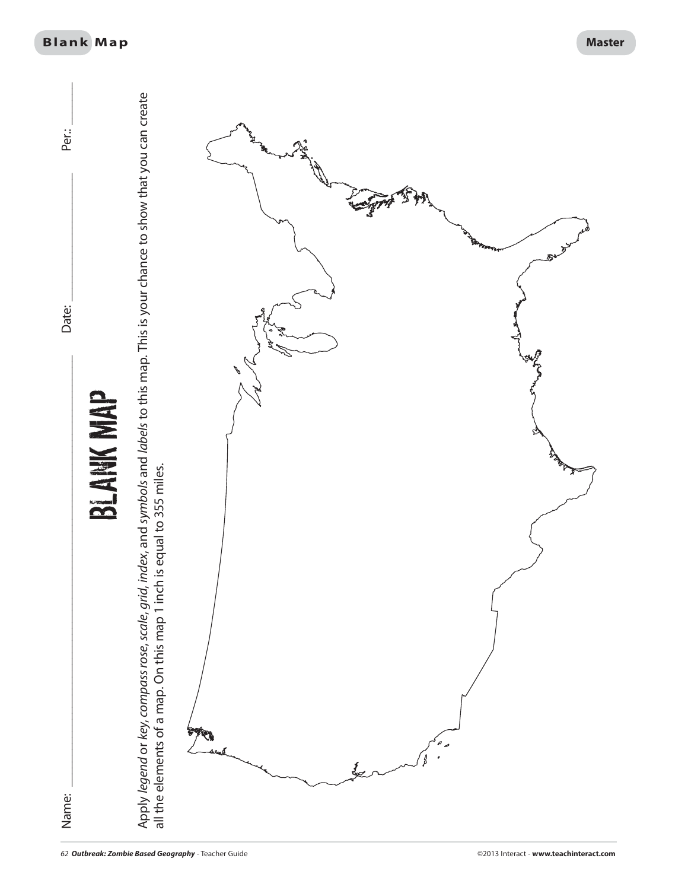

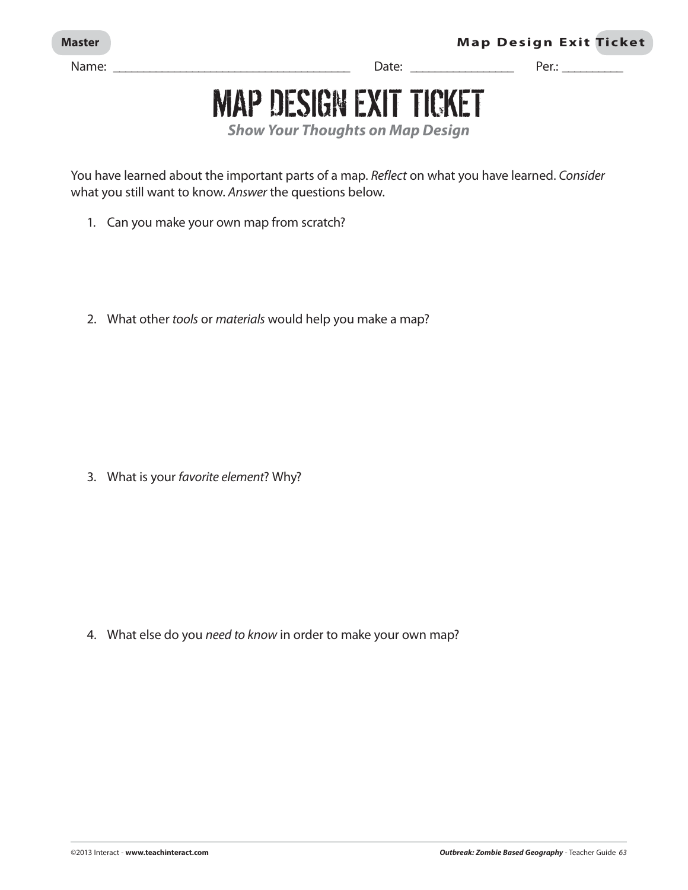Name: \_\_\_\_\_\_\_\_\_\_\_\_\_\_\_\_\_\_\_\_\_\_\_\_\_\_\_\_\_\_\_\_\_\_\_\_\_\_\_ Date: \_\_\_\_\_\_\_\_\_\_\_\_\_\_\_\_\_ Per.: \_\_\_\_\_\_\_\_\_\_

**Master .BQ**  $\blacksquare$  **Master** .BQ  $\blacksquare$  **Map Design Exit Ticket** 

# MAP DESIGN EXIT TICKET

*Show Your Thoughts on Map Design*

You have learned about the important parts of a map. Reflect on what you have learned. Consider what you still want to know. Answer the questions below.

- 1. Can you make your own map from scratch?
- 2. What other tools or materials would help you make a map?

3. What is your favorite element? Why?

4. What else do you need to know in order to make your own map?